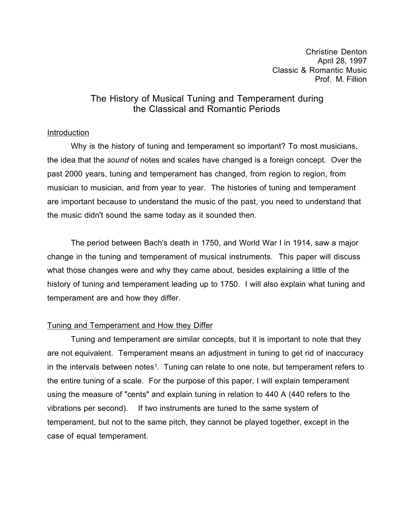Christine Denton April 28, 1997 Classic & Romantic Music Prof. M. Fillion

# The History of Musical Tuning and Temperament during the Classical and Romantic Periods

#### Introduction

Why is the history of tuning and temperament so important? To most musicians, the idea that the *sound* of notes and scales have changed is a foreign concept. Over the past 2000 years, tuning and temperament has changed, from region to region, from musician to musician, and from year to year. The histories of tuning and temperament are important because to understand the music of the past, you need to understand that the music didn't sound the same today as it sounded then.

The period between Bach's death in 1750, and World War I in 1914, saw a major change in the tuning and temperament of musical instruments. This paper will discuss what those changes were and why they came about, besides explaining a little of the history of tuning and temperament leading up to 1750. I will also explain what tuning and temperament are and how they differ.

#### Tuning and Temperament and How they Differ

Tuning and temperament are similar concepts, but it is important to note that they are not equivalent. Temperament means an adjustment in tuning to get rid of inaccuracy in the intervals between notes<sup>1</sup>. Tuning can relate to one note, but temperament refers to the entire tuning of a scale. For the purpose of this paper, I will explain temperament using the measure of "cents" and explain tuning in relation to 440 A (440 refers to the vibrations per second). If two instruments are tuned to the same system of temperament, but not to the same pitch, they cannot be played together, except in the case of equal temperament.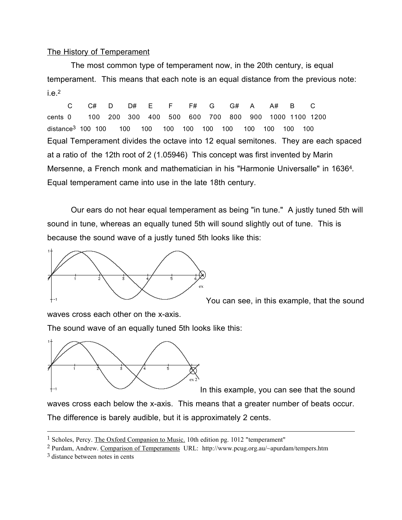### The History of Temperament

The most common type of temperament now, in the 20th century, is equal temperament. This means that each note is an equal distance from the previous note:  $i.e.2$ 

C C# D D# E F F# G G# A A# B C cents 0 100 200 300 400 500 600 700 800 900 1000 1100 1200 distance3 100 100 100 100 100 100 100 100 100 100 100 100 Equal Temperament divides the octave into 12 equal semitones. They are each spaced at a ratio of the 12th root of 2 (1.05946) This concept was first invented by Marin Mersenne, a French monk and mathematician in his "Harmonie Universalle" in 16364. Equal temperament came into use in the late 18th century.

Our ears do not hear equal temperament as being "in tune." A justly tuned 5th will sound in tune, whereas an equally tuned 5th will sound slightly out of tune. This is because the sound wave of a justly tuned 5th looks like this:



You can see, in this example, that the sound

waves cross each other on the x-axis.

The sound wave of an equally tuned 5th looks like this:



In this example, you can see that the sound

waves cross each below the x-axis. This means that a greater number of beats occur. The difference is barely audible, but it is approximately 2 cents.

<sup>1</sup> Scholes, Percy. The Oxford Companion to Music. 10th edition pg. 1012 "temperament"

<sup>2</sup> Purdam, Andrew. Comparison of Temperaments URL: http://www.pcug.org.au/~apurdam/tempers.htm

<sup>3</sup> distance between notes in cents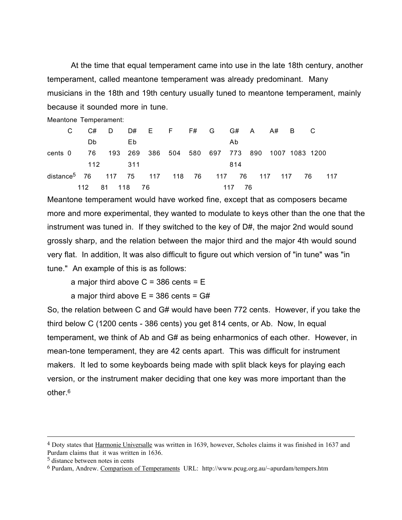At the time that equal temperament came into use in the late 18th century, another temperament, called meantone temperament was already predominant. Many musicians in the 18th and 19th century usually tuned to meantone temperament, mainly because it sounded more in tune.

Meantone Temperament:

| C.                                                        | - C#          | DD#EFF#GG#AA#BC |     |                                                |  |  |  |        |     |  |     |  |     |  |
|-----------------------------------------------------------|---------------|-----------------|-----|------------------------------------------------|--|--|--|--------|-----|--|-----|--|-----|--|
|                                                           | Db.           |                 | Eb. |                                                |  |  |  | Ab     |     |  |     |  |     |  |
| cents 0                                                   | - 76          |                 |     | 193 269 386 504 580 697 773 890 1007 1083 1200 |  |  |  |        |     |  |     |  |     |  |
|                                                           | 112 311       |                 |     |                                                |  |  |  |        | 814 |  |     |  |     |  |
| distance <sup>5</sup> 76 117 75 117 118 76 117 76 117 117 |               |                 |     |                                                |  |  |  |        |     |  | -76 |  | 117 |  |
|                                                           | 112 81 118 76 |                 |     |                                                |  |  |  | 117 76 |     |  |     |  |     |  |

Meantone temperament would have worked fine, except that as composers became more and more experimental, they wanted to modulate to keys other than the one that the instrument was tuned in. If they switched to the key of D#, the major 2nd would sound grossly sharp, and the relation between the major third and the major 4th would sound very flat. In addition, It was also difficult to figure out which version of "in tune" was "in tune." An example of this is as follows:

a major third above  $C = 386$  cents  $= E$ 

a major third above  $E = 386$  cents =  $G#$ 

So, the relation between C and G# would have been 772 cents. However, if you take the third below C (1200 cents - 386 cents) you get 814 cents, or Ab. Now, In equal temperament, we think of Ab and G# as being enharmonics of each other. However, in mean-tone temperament, they are 42 cents apart. This was difficult for instrument makers. It led to some keyboards being made with split black keys for playing each version, or the instrument maker deciding that one key was more important than the other.6

<sup>4</sup> Doty states that Harmonie Universalle was written in 1639, however, Scholes claims it was finished in 1637 and Purdam claims that it was written in 1636.

<sup>5</sup> distance between notes in cents

<sup>6</sup> Purdam, Andrew. Comparison of Temperaments URL: http://www.pcug.org.au/~apurdam/tempers.htm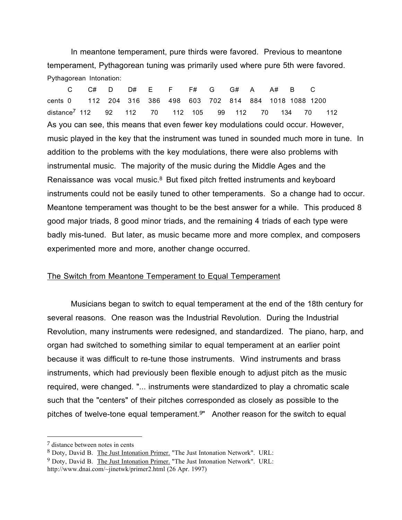In meantone temperament, pure thirds were favored. Previous to meantone temperament, Pythagorean tuning was primarily used where pure 5th were favored. Pythagorean Intonation:

C C# D D# E F F# G G# A A# B C cents 0 112 204 316 386 498 603 702 814 884 1018 1088 1200 distance7 112 92 112 70 112 105 99 112 70 134 70 112 As you can see, this means that even fewer key modulations could occur. However, music played in the key that the instrument was tuned in sounded much more in tune. In addition to the problems with the key modulations, there were also problems with instrumental music. The majority of the music during the Middle Ages and the Renaissance was vocal music.8 But fixed pitch fretted instruments and keyboard instruments could not be easily tuned to other temperaments. So a change had to occur. Meantone temperament was thought to be the best answer for a while. This produced 8 good major triads, 8 good minor triads, and the remaining 4 triads of each type were badly mis-tuned. But later, as music became more and more complex, and composers experimented more and more, another change occurred.

#### The Switch from Meantone Temperament to Equal Temperament

Musicians began to switch to equal temperament at the end of the 18th century for several reasons. One reason was the Industrial Revolution. During the Industrial Revolution, many instruments were redesigned, and standardized. The piano, harp, and organ had switched to something similar to equal temperament at an earlier point because it was difficult to re-tune those instruments. Wind instruments and brass instruments, which had previously been flexible enough to adjust pitch as the music required, were changed. "... instruments were standardized to play a chromatic scale such that the "centers" of their pitches corresponded as closely as possible to the pitches of twelve-tone equal temperament.9" Another reason for the switch to equal

<sup>7</sup> distance between notes in cents

<sup>8</sup> Doty, David B. The Just Intonation Primer. "The Just Intonation Network". URL:

<sup>&</sup>lt;sup>9</sup> Doty, David B. The Just Intonation Primer. "The Just Intonation Network". URL: http://www.dnai.com/~jinetwk/primer2.html (26 Apr. 1997)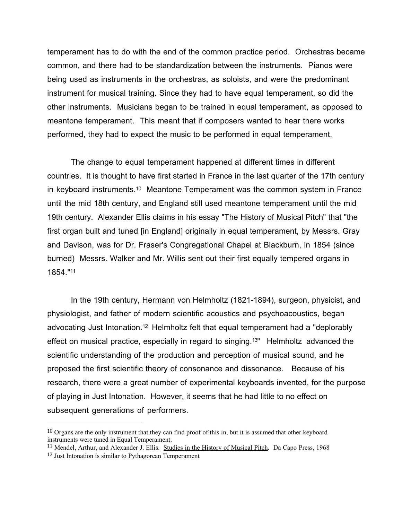temperament has to do with the end of the common practice period. Orchestras became common, and there had to be standardization between the instruments. Pianos were being used as instruments in the orchestras, as soloists, and were the predominant instrument for musical training. Since they had to have equal temperament, so did the other instruments. Musicians began to be trained in equal temperament, as opposed to meantone temperament. This meant that if composers wanted to hear there works performed, they had to expect the music to be performed in equal temperament.

The change to equal temperament happened at different times in different countries. It is thought to have first started in France in the last quarter of the 17th century in keyboard instruments.10 Meantone Temperament was the common system in France until the mid 18th century, and England still used meantone temperament until the mid 19th century. Alexander Ellis claims in his essay "The History of Musical Pitch" that "the first organ built and tuned [in England] originally in equal temperament, by Messrs. Gray and Davison, was for Dr. Fraser's Congregational Chapel at Blackburn, in 1854 (since burned) Messrs. Walker and Mr. Willis sent out their first equally tempered organs in 1854."11

In the 19th century, Hermann von Helmholtz (1821-1894), surgeon, physicist, and physiologist, and father of modern scientific acoustics and psychoacoustics, began advocating Just Intonation.12 Helmholtz felt that equal temperament had a "deplorably effect on musical practice, especially in regard to singing.13" Helmholtz advanced the scientific understanding of the production and perception of musical sound, and he proposed the first scientific theory of consonance and dissonance. Because of his research, there were a great number of experimental keyboards invented, for the purpose of playing in Just Intonation. However, it seems that he had little to no effect on subsequent generations of performers.

<sup>11</sup> Mendel, Arthur, and Alexander J. Ellis. Studies in the History of Musical Pitch. Da Capo Press, 1968

<sup>&</sup>lt;sup>10</sup> Organs are the only instrument that they can find proof of this in, but it is assumed that other keyboard instruments were tuned in Equal Temperament.

<sup>12</sup> Just Intonation is similar to Pythagorean Temperament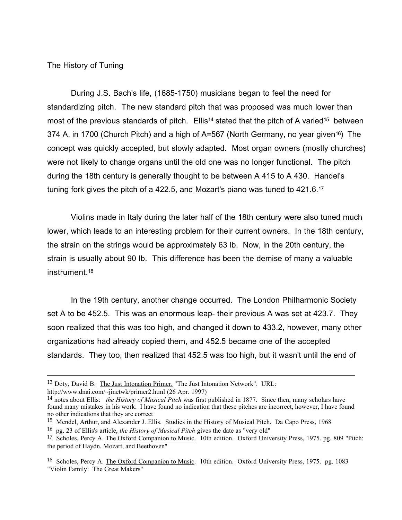### The History of Tuning

During J.S. Bach's life, (1685-1750) musicians began to feel the need for standardizing pitch. The new standard pitch that was proposed was much lower than most of the previous standards of pitch. Ellis<sup>14</sup> stated that the pitch of A varied<sup>15</sup> between 374 A, in 1700 (Church Pitch) and a high of A=567 (North Germany, no year given<sup>16</sup>) The concept was quickly accepted, but slowly adapted. Most organ owners (mostly churches) were not likely to change organs until the old one was no longer functional. The pitch during the 18th century is generally thought to be between A 415 to A 430. Handel's tuning fork gives the pitch of a 422.5, and Mozart's piano was tuned to 421.6.17

Violins made in Italy during the later half of the 18th century were also tuned much lower, which leads to an interesting problem for their current owners. In the 18th century, the strain on the strings would be approximately 63 lb. Now, in the 20th century, the strain is usually about 90 lb. This difference has been the demise of many a valuable instrument.18

In the 19th century, another change occurred. The London Philharmonic Society set A to be 452.5. This was an enormous leap- their previous A was set at 423.7. They soon realized that this was too high, and changed it down to 433.2, however, many other organizations had already copied them, and 452.5 became one of the accepted standards. They too, then realized that 452.5 was too high, but it wasn't until the end of

<sup>13</sup> Doty, David B. The Just Intonation Primer. "The Just Intonation Network". URL:

http://www.dnai.com/~jinetwk/primer2.html (26 Apr. 1997)

<sup>14</sup> notes about Ellis: *the History of Musical Pitch* was first published in 1877. Since then, many scholars have found many mistakes in his work. I have found no indication that these pitches are incorrect, however, I have found no other indications that they are correct

<sup>&</sup>lt;sup>15</sup> Mendel, Arthur, and Alexander J. Ellis. Studies in the History of Musical Pitch. Da Capo Press, 1968

<sup>16</sup> pg. 23 of Ellis's article, *the History of Musical Pitch* gives the date as "very old"

<sup>&</sup>lt;sup>17</sup> Scholes, Percy A. The Oxford Companion to Music. 10th edition. Oxford University Press, 1975. pg. 809 "Pitch: the period of Haydn, Mozart, and Beethoven"

<sup>&</sup>lt;sup>18</sup> Scholes, Percy A. The Oxford Companion to Music. 10th edition. Oxford University Press, 1975. pg. 1083 "Violin Family: The Great Makers"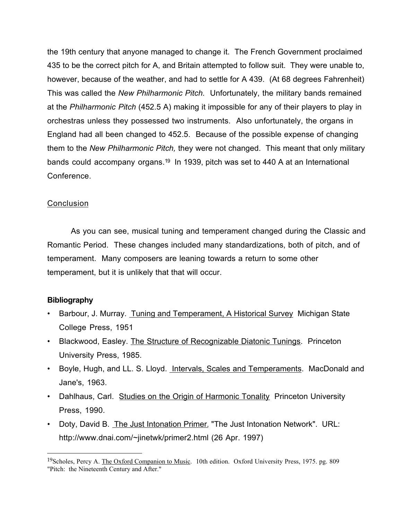the 19th century that anyone managed to change it. The French Government proclaimed 435 to be the correct pitch for A, and Britain attempted to follow suit. They were unable to, however, because of the weather, and had to settle for A 439. (At 68 degrees Fahrenheit) This was called the *New Philharmonic Pitch.* Unfortunately, the military bands remained at the *Philharmonic Pitch* (452.5 A) making it impossible for any of their players to play in orchestras unless they possessed two instruments. Also unfortunately, the organs in England had all been changed to 452.5. Because of the possible expense of changing them to the *New Philharmonic Pitch,* they were not changed. This meant that only military bands could accompany organs.19 In 1939, pitch was set to 440 A at an International Conference.

## Conclusion

As you can see, musical tuning and temperament changed during the Classic and Romantic Period. These changes included many standardizations, both of pitch, and of temperament. Many composers are leaning towards a return to some other temperament, but it is unlikely that that will occur.

# **Bibliography**

- Barbour, J. Murray. Tuning and Temperament, A Historical Survey Michigan State College Press, 1951
- Blackwood, Easley. The Structure of Recognizable Diatonic Tunings. Princeton University Press, 1985.
- Boyle, Hugh, and LL. S. Lloyd. Intervals, Scales and Temperaments. MacDonald and Jane's, 1963.
- Dahlhaus, Carl. Studies on the Origin of Harmonic Tonality Princeton University Press, 1990.
- Doty, David B. The Just Intonation Primer. "The Just Intonation Network". URL: http://www.dnai.com/~jinetwk/primer2.html (26 Apr. 1997)

<sup>&</sup>lt;sup>19</sup>Scholes, Percy A. The Oxford Companion to Music. 10th edition. Oxford University Press, 1975. pg. 809 "Pitch: the Nineteenth Century and After."